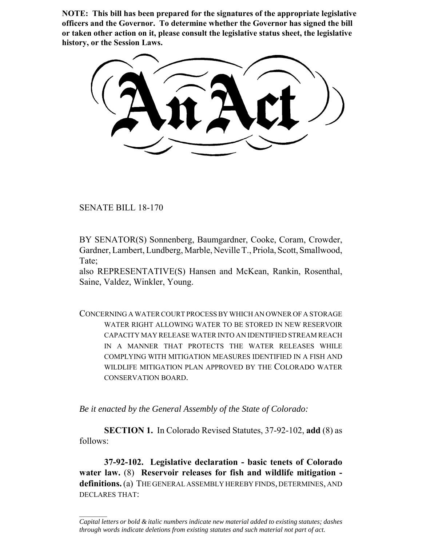**NOTE: This bill has been prepared for the signatures of the appropriate legislative officers and the Governor. To determine whether the Governor has signed the bill or taken other action on it, please consult the legislative status sheet, the legislative history, or the Session Laws.**

SENATE BILL 18-170

 $\frac{1}{2}$ 

BY SENATOR(S) Sonnenberg, Baumgardner, Cooke, Coram, Crowder, Gardner, Lambert, Lundberg, Marble, Neville T., Priola, Scott, Smallwood, Tate;

also REPRESENTATIVE(S) Hansen and McKean, Rankin, Rosenthal, Saine, Valdez, Winkler, Young.

CONCERNING A WATER COURT PROCESS BY WHICH AN OWNER OF A STORAGE WATER RIGHT ALLOWING WATER TO BE STORED IN NEW RESERVOIR CAPACITY MAY RELEASE WATER INTO AN IDENTIFIED STREAM REACH IN A MANNER THAT PROTECTS THE WATER RELEASES WHILE COMPLYING WITH MITIGATION MEASURES IDENTIFIED IN A FISH AND WILDLIFE MITIGATION PLAN APPROVED BY THE COLORADO WATER CONSERVATION BOARD.

*Be it enacted by the General Assembly of the State of Colorado:*

**SECTION 1.** In Colorado Revised Statutes, 37-92-102, **add** (8) as follows:

**37-92-102. Legislative declaration - basic tenets of Colorado water law.** (8) **Reservoir releases for fish and wildlife mitigation definitions.** (a) THE GENERAL ASSEMBLY HEREBY FINDS, DETERMINES, AND DECLARES THAT:

*Capital letters or bold & italic numbers indicate new material added to existing statutes; dashes through words indicate deletions from existing statutes and such material not part of act.*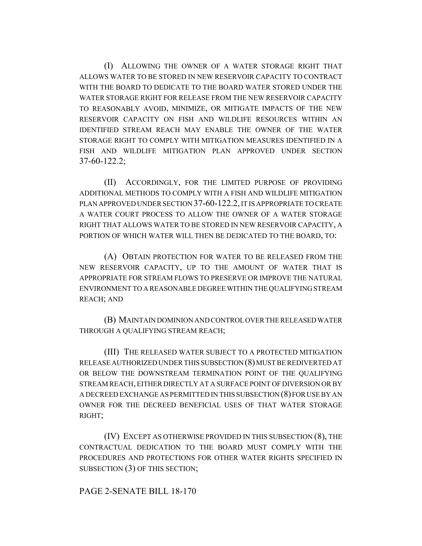(I) ALLOWING THE OWNER OF A WATER STORAGE RIGHT THAT ALLOWS WATER TO BE STORED IN NEW RESERVOIR CAPACITY TO CONTRACT WITH THE BOARD TO DEDICATE TO THE BOARD WATER STORED UNDER THE WATER STORAGE RIGHT FOR RELEASE FROM THE NEW RESERVOIR CAPACITY TO REASONABLY AVOID, MINIMIZE, OR MITIGATE IMPACTS OF THE NEW RESERVOIR CAPACITY ON FISH AND WILDLIFE RESOURCES WITHIN AN IDENTIFIED STREAM REACH MAY ENABLE THE OWNER OF THE WATER STORAGE RIGHT TO COMPLY WITH MITIGATION MEASURES IDENTIFIED IN A FISH AND WILDLIFE MITIGATION PLAN APPROVED UNDER SECTION 37-60-122.2;

(II) ACCORDINGLY, FOR THE LIMITED PURPOSE OF PROVIDING ADDITIONAL METHODS TO COMPLY WITH A FISH AND WILDLIFE MITIGATION PLAN APPROVED UNDER SECTION 37-60-122.2, IT IS APPROPRIATE TO CREATE A WATER COURT PROCESS TO ALLOW THE OWNER OF A WATER STORAGE RIGHT THAT ALLOWS WATER TO BE STORED IN NEW RESERVOIR CAPACITY, A PORTION OF WHICH WATER WILL THEN BE DEDICATED TO THE BOARD, TO:

(A) OBTAIN PROTECTION FOR WATER TO BE RELEASED FROM THE NEW RESERVOIR CAPACITY, UP TO THE AMOUNT OF WATER THAT IS APPROPRIATE FOR STREAM FLOWS TO PRESERVE OR IMPROVE THE NATURAL ENVIRONMENT TO A REASONABLE DEGREE WITHIN THE QUALIFYING STREAM REACH; AND

(B) MAINTAIN DOMINION AND CONTROL OVER THE RELEASED WATER THROUGH A QUALIFYING STREAM REACH;

(III) THE RELEASED WATER SUBJECT TO A PROTECTED MITIGATION RELEASE AUTHORIZED UNDER THIS SUBSECTION (8) MUST BE REDIVERTED AT OR BELOW THE DOWNSTREAM TERMINATION POINT OF THE QUALIFYING STREAM REACH, EITHER DIRECTLY AT A SURFACE POINT OF DIVERSION OR BY A DECREED EXCHANGE AS PERMITTED IN THIS SUBSECTION (8) FOR USE BY AN OWNER FOR THE DECREED BENEFICIAL USES OF THAT WATER STORAGE RIGHT;

(IV) EXCEPT AS OTHERWISE PROVIDED IN THIS SUBSECTION (8), THE CONTRACTUAL DEDICATION TO THE BOARD MUST COMPLY WITH THE PROCEDURES AND PROTECTIONS FOR OTHER WATER RIGHTS SPECIFIED IN SUBSECTION (3) OF THIS SECTION;

## PAGE 2-SENATE BILL 18-170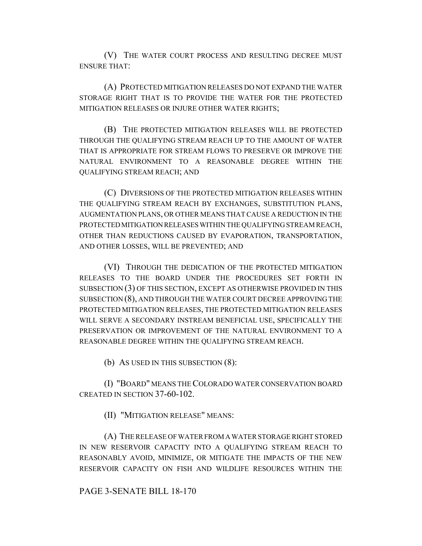(V) THE WATER COURT PROCESS AND RESULTING DECREE MUST ENSURE THAT:

(A) PROTECTED MITIGATION RELEASES DO NOT EXPAND THE WATER STORAGE RIGHT THAT IS TO PROVIDE THE WATER FOR THE PROTECTED MITIGATION RELEASES OR INJURE OTHER WATER RIGHTS;

(B) THE PROTECTED MITIGATION RELEASES WILL BE PROTECTED THROUGH THE QUALIFYING STREAM REACH UP TO THE AMOUNT OF WATER THAT IS APPROPRIATE FOR STREAM FLOWS TO PRESERVE OR IMPROVE THE NATURAL ENVIRONMENT TO A REASONABLE DEGREE WITHIN THE QUALIFYING STREAM REACH; AND

(C) DIVERSIONS OF THE PROTECTED MITIGATION RELEASES WITHIN THE QUALIFYING STREAM REACH BY EXCHANGES, SUBSTITUTION PLANS, AUGMENTATION PLANS, OR OTHER MEANS THAT CAUSE A REDUCTION IN THE PROTECTED MITIGATION RELEASES WITHIN THE QUALIFYING STREAM REACH, OTHER THAN REDUCTIONS CAUSED BY EVAPORATION, TRANSPORTATION, AND OTHER LOSSES, WILL BE PREVENTED; AND

(VI) THROUGH THE DEDICATION OF THE PROTECTED MITIGATION RELEASES TO THE BOARD UNDER THE PROCEDURES SET FORTH IN SUBSECTION (3) OF THIS SECTION, EXCEPT AS OTHERWISE PROVIDED IN THIS SUBSECTION (8), AND THROUGH THE WATER COURT DECREE APPROVING THE PROTECTED MITIGATION RELEASES, THE PROTECTED MITIGATION RELEASES WILL SERVE A SECONDARY INSTREAM BENEFICIAL USE, SPECIFICALLY THE PRESERVATION OR IMPROVEMENT OF THE NATURAL ENVIRONMENT TO A REASONABLE DEGREE WITHIN THE QUALIFYING STREAM REACH.

(b) AS USED IN THIS SUBSECTION (8):

(I) "BOARD" MEANS THE COLORADO WATER CONSERVATION BOARD CREATED IN SECTION 37-60-102.

(II) "MITIGATION RELEASE" MEANS:

(A) THE RELEASE OF WATER FROM A WATER STORAGE RIGHT STORED IN NEW RESERVOIR CAPACITY INTO A QUALIFYING STREAM REACH TO REASONABLY AVOID, MINIMIZE, OR MITIGATE THE IMPACTS OF THE NEW RESERVOIR CAPACITY ON FISH AND WILDLIFE RESOURCES WITHIN THE

## PAGE 3-SENATE BILL 18-170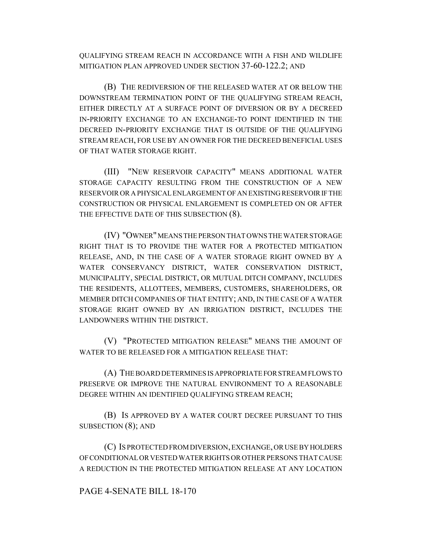QUALIFYING STREAM REACH IN ACCORDANCE WITH A FISH AND WILDLIFE MITIGATION PLAN APPROVED UNDER SECTION 37-60-122.2; AND

(B) THE REDIVERSION OF THE RELEASED WATER AT OR BELOW THE DOWNSTREAM TERMINATION POINT OF THE QUALIFYING STREAM REACH, EITHER DIRECTLY AT A SURFACE POINT OF DIVERSION OR BY A DECREED IN-PRIORITY EXCHANGE TO AN EXCHANGE-TO POINT IDENTIFIED IN THE DECREED IN-PRIORITY EXCHANGE THAT IS OUTSIDE OF THE QUALIFYING STREAM REACH, FOR USE BY AN OWNER FOR THE DECREED BENEFICIAL USES OF THAT WATER STORAGE RIGHT.

(III) "NEW RESERVOIR CAPACITY" MEANS ADDITIONAL WATER STORAGE CAPACITY RESULTING FROM THE CONSTRUCTION OF A NEW RESERVOIR OR A PHYSICAL ENLARGEMENT OF AN EXISTING RESERVOIR IF THE CONSTRUCTION OR PHYSICAL ENLARGEMENT IS COMPLETED ON OR AFTER THE EFFECTIVE DATE OF THIS SUBSECTION (8).

(IV) "OWNER" MEANS THE PERSON THAT OWNS THE WATER STORAGE RIGHT THAT IS TO PROVIDE THE WATER FOR A PROTECTED MITIGATION RELEASE, AND, IN THE CASE OF A WATER STORAGE RIGHT OWNED BY A WATER CONSERVANCY DISTRICT, WATER CONSERVATION DISTRICT, MUNICIPALITY, SPECIAL DISTRICT, OR MUTUAL DITCH COMPANY, INCLUDES THE RESIDENTS, ALLOTTEES, MEMBERS, CUSTOMERS, SHAREHOLDERS, OR MEMBER DITCH COMPANIES OF THAT ENTITY; AND, IN THE CASE OF A WATER STORAGE RIGHT OWNED BY AN IRRIGATION DISTRICT, INCLUDES THE LANDOWNERS WITHIN THE DISTRICT.

(V) "PROTECTED MITIGATION RELEASE" MEANS THE AMOUNT OF WATER TO BE RELEASED FOR A MITIGATION RELEASE THAT:

(A) THE BOARD DETERMINES IS APPROPRIATE FOR STREAM FLOWS TO PRESERVE OR IMPROVE THE NATURAL ENVIRONMENT TO A REASONABLE DEGREE WITHIN AN IDENTIFIED QUALIFYING STREAM REACH;

(B) IS APPROVED BY A WATER COURT DECREE PURSUANT TO THIS SUBSECTION (8); AND

(C) IS PROTECTED FROM DIVERSION, EXCHANGE, OR USE BY HOLDERS OF CONDITIONAL OR VESTED WATER RIGHTS OR OTHER PERSONS THAT CAUSE A REDUCTION IN THE PROTECTED MITIGATION RELEASE AT ANY LOCATION

## PAGE 4-SENATE BILL 18-170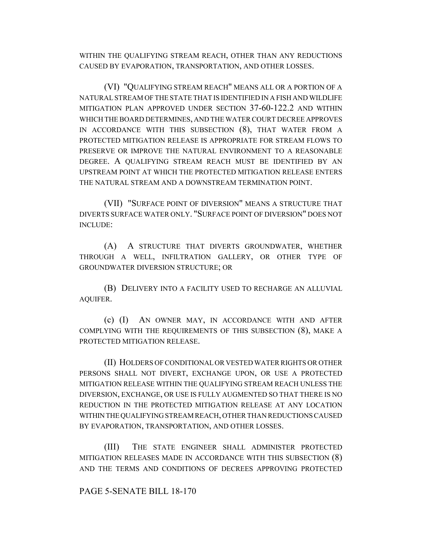WITHIN THE QUALIFYING STREAM REACH, OTHER THAN ANY REDUCTIONS CAUSED BY EVAPORATION, TRANSPORTATION, AND OTHER LOSSES.

(VI) "QUALIFYING STREAM REACH" MEANS ALL OR A PORTION OF A NATURAL STREAM OF THE STATE THAT IS IDENTIFIED IN A FISH AND WILDLIFE MITIGATION PLAN APPROVED UNDER SECTION 37-60-122.2 AND WITHIN WHICH THE BOARD DETERMINES, AND THE WATER COURT DECREE APPROVES IN ACCORDANCE WITH THIS SUBSECTION (8), THAT WATER FROM A PROTECTED MITIGATION RELEASE IS APPROPRIATE FOR STREAM FLOWS TO PRESERVE OR IMPROVE THE NATURAL ENVIRONMENT TO A REASONABLE DEGREE. A QUALIFYING STREAM REACH MUST BE IDENTIFIED BY AN UPSTREAM POINT AT WHICH THE PROTECTED MITIGATION RELEASE ENTERS THE NATURAL STREAM AND A DOWNSTREAM TERMINATION POINT.

(VII) "SURFACE POINT OF DIVERSION" MEANS A STRUCTURE THAT DIVERTS SURFACE WATER ONLY. "SURFACE POINT OF DIVERSION" DOES NOT INCLUDE:

(A) A STRUCTURE THAT DIVERTS GROUNDWATER, WHETHER THROUGH A WELL, INFILTRATION GALLERY, OR OTHER TYPE OF GROUNDWATER DIVERSION STRUCTURE; OR

(B) DELIVERY INTO A FACILITY USED TO RECHARGE AN ALLUVIAL AQUIFER.

(c) (I) AN OWNER MAY, IN ACCORDANCE WITH AND AFTER COMPLYING WITH THE REQUIREMENTS OF THIS SUBSECTION (8), MAKE A PROTECTED MITIGATION RELEASE.

(II) HOLDERS OF CONDITIONAL OR VESTED WATER RIGHTS OR OTHER PERSONS SHALL NOT DIVERT, EXCHANGE UPON, OR USE A PROTECTED MITIGATION RELEASE WITHIN THE QUALIFYING STREAM REACH UNLESS THE DIVERSION, EXCHANGE, OR USE IS FULLY AUGMENTED SO THAT THERE IS NO REDUCTION IN THE PROTECTED MITIGATION RELEASE AT ANY LOCATION WITHIN THE QUALIFYING STREAM REACH, OTHER THAN REDUCTIONS CAUSED BY EVAPORATION, TRANSPORTATION, AND OTHER LOSSES.

(III) THE STATE ENGINEER SHALL ADMINISTER PROTECTED MITIGATION RELEASES MADE IN ACCORDANCE WITH THIS SUBSECTION (8) AND THE TERMS AND CONDITIONS OF DECREES APPROVING PROTECTED

## PAGE 5-SENATE BILL 18-170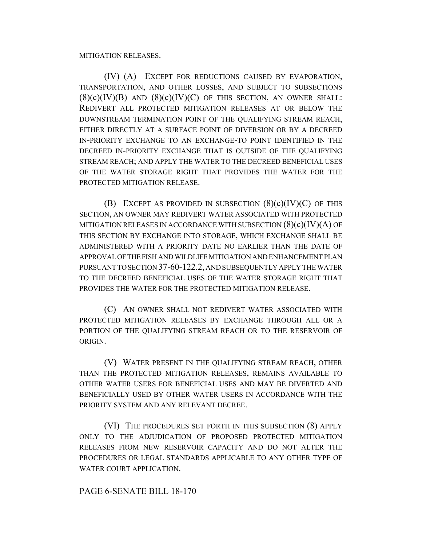(IV) (A) EXCEPT FOR REDUCTIONS CAUSED BY EVAPORATION, TRANSPORTATION, AND OTHER LOSSES, AND SUBJECT TO SUBSECTIONS  $(8)(c)(IV)(B)$  AND  $(8)(c)(IV)(C)$  OF THIS SECTION, AN OWNER SHALL: REDIVERT ALL PROTECTED MITIGATION RELEASES AT OR BELOW THE DOWNSTREAM TERMINATION POINT OF THE QUALIFYING STREAM REACH, EITHER DIRECTLY AT A SURFACE POINT OF DIVERSION OR BY A DECREED IN-PRIORITY EXCHANGE TO AN EXCHANGE-TO POINT IDENTIFIED IN THE DECREED IN-PRIORITY EXCHANGE THAT IS OUTSIDE OF THE QUALIFYING STREAM REACH; AND APPLY THE WATER TO THE DECREED BENEFICIAL USES OF THE WATER STORAGE RIGHT THAT PROVIDES THE WATER FOR THE PROTECTED MITIGATION RELEASE.

(B) EXCEPT AS PROVIDED IN SUBSECTION  $(8)(c)(IV)(C)$  OF THIS SECTION, AN OWNER MAY REDIVERT WATER ASSOCIATED WITH PROTECTED MITIGATION RELEASES IN ACCORDANCE WITH SUBSECTION  $(8)(c)(IV)(A)$  OF THIS SECTION BY EXCHANGE INTO STORAGE, WHICH EXCHANGE SHALL BE ADMINISTERED WITH A PRIORITY DATE NO EARLIER THAN THE DATE OF APPROVAL OF THE FISH AND WILDLIFE MITIGATION AND ENHANCEMENT PLAN PURSUANT TO SECTION 37-60-122.2, AND SUBSEQUENTLY APPLY THE WATER TO THE DECREED BENEFICIAL USES OF THE WATER STORAGE RIGHT THAT PROVIDES THE WATER FOR THE PROTECTED MITIGATION RELEASE.

(C) AN OWNER SHALL NOT REDIVERT WATER ASSOCIATED WITH PROTECTED MITIGATION RELEASES BY EXCHANGE THROUGH ALL OR A PORTION OF THE QUALIFYING STREAM REACH OR TO THE RESERVOIR OF ORIGIN.

(V) WATER PRESENT IN THE QUALIFYING STREAM REACH, OTHER THAN THE PROTECTED MITIGATION RELEASES, REMAINS AVAILABLE TO OTHER WATER USERS FOR BENEFICIAL USES AND MAY BE DIVERTED AND BENEFICIALLY USED BY OTHER WATER USERS IN ACCORDANCE WITH THE PRIORITY SYSTEM AND ANY RELEVANT DECREE.

(VI) THE PROCEDURES SET FORTH IN THIS SUBSECTION (8) APPLY ONLY TO THE ADJUDICATION OF PROPOSED PROTECTED MITIGATION RELEASES FROM NEW RESERVOIR CAPACITY AND DO NOT ALTER THE PROCEDURES OR LEGAL STANDARDS APPLICABLE TO ANY OTHER TYPE OF WATER COURT APPLICATION.

## PAGE 6-SENATE BILL 18-170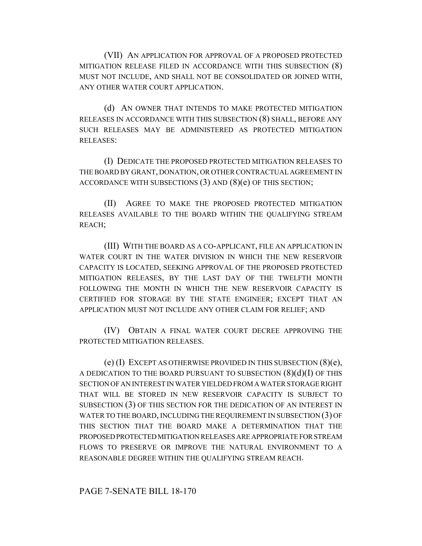(VII) AN APPLICATION FOR APPROVAL OF A PROPOSED PROTECTED MITIGATION RELEASE FILED IN ACCORDANCE WITH THIS SUBSECTION (8) MUST NOT INCLUDE, AND SHALL NOT BE CONSOLIDATED OR JOINED WITH, ANY OTHER WATER COURT APPLICATION.

(d) AN OWNER THAT INTENDS TO MAKE PROTECTED MITIGATION RELEASES IN ACCORDANCE WITH THIS SUBSECTION (8) SHALL, BEFORE ANY SUCH RELEASES MAY BE ADMINISTERED AS PROTECTED MITIGATION RELEASES:

(I) DEDICATE THE PROPOSED PROTECTED MITIGATION RELEASES TO THE BOARD BY GRANT, DONATION, OR OTHER CONTRACTUAL AGREEMENT IN ACCORDANCE WITH SUBSECTIONS (3) AND (8)(e) OF THIS SECTION;

(II) AGREE TO MAKE THE PROPOSED PROTECTED MITIGATION RELEASES AVAILABLE TO THE BOARD WITHIN THE QUALIFYING STREAM REACH;

(III) WITH THE BOARD AS A CO-APPLICANT, FILE AN APPLICATION IN WATER COURT IN THE WATER DIVISION IN WHICH THE NEW RESERVOIR CAPACITY IS LOCATED, SEEKING APPROVAL OF THE PROPOSED PROTECTED MITIGATION RELEASES, BY THE LAST DAY OF THE TWELFTH MONTH FOLLOWING THE MONTH IN WHICH THE NEW RESERVOIR CAPACITY IS CERTIFIED FOR STORAGE BY THE STATE ENGINEER; EXCEPT THAT AN APPLICATION MUST NOT INCLUDE ANY OTHER CLAIM FOR RELIEF; AND

(IV) OBTAIN A FINAL WATER COURT DECREE APPROVING THE PROTECTED MITIGATION RELEASES.

(e) (I) EXCEPT AS OTHERWISE PROVIDED IN THIS SUBSECTION (8)(e), A DEDICATION TO THE BOARD PURSUANT TO SUBSECTION  $(8)(d)(I)$  OF THIS SECTION OF AN INTEREST IN WATER YIELDED FROM A WATER STORAGE RIGHT THAT WILL BE STORED IN NEW RESERVOIR CAPACITY IS SUBJECT TO SUBSECTION (3) OF THIS SECTION FOR THE DEDICATION OF AN INTEREST IN WATER TO THE BOARD, INCLUDING THE REQUIREMENT IN SUBSECTION (3) OF THIS SECTION THAT THE BOARD MAKE A DETERMINATION THAT THE PROPOSED PROTECTED MITIGATION RELEASES ARE APPROPRIATE FOR STREAM FLOWS TO PRESERVE OR IMPROVE THE NATURAL ENVIRONMENT TO A REASONABLE DEGREE WITHIN THE QUALIFYING STREAM REACH.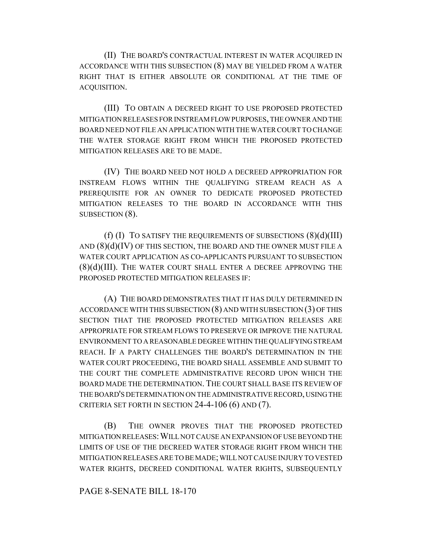(II) THE BOARD'S CONTRACTUAL INTEREST IN WATER ACQUIRED IN ACCORDANCE WITH THIS SUBSECTION (8) MAY BE YIELDED FROM A WATER RIGHT THAT IS EITHER ABSOLUTE OR CONDITIONAL AT THE TIME OF ACQUISITION.

(III) TO OBTAIN A DECREED RIGHT TO USE PROPOSED PROTECTED MITIGATION RELEASES FOR INSTREAM FLOW PURPOSES, THE OWNER AND THE BOARD NEED NOT FILE AN APPLICATION WITH THE WATER COURT TO CHANGE THE WATER STORAGE RIGHT FROM WHICH THE PROPOSED PROTECTED MITIGATION RELEASES ARE TO BE MADE.

(IV) THE BOARD NEED NOT HOLD A DECREED APPROPRIATION FOR INSTREAM FLOWS WITHIN THE QUALIFYING STREAM REACH AS A PREREQUISITE FOR AN OWNER TO DEDICATE PROPOSED PROTECTED MITIGATION RELEASES TO THE BOARD IN ACCORDANCE WITH THIS SUBSECTION  $(8)$ .

(f) (I) TO SATISFY THE REQUIREMENTS OF SUBSECTIONS (8)(d)(III) AND  $(8)(d)(IV)$  OF THIS SECTION, THE BOARD AND THE OWNER MUST FILE A WATER COURT APPLICATION AS CO-APPLICANTS PURSUANT TO SUBSECTION (8)(d)(III). THE WATER COURT SHALL ENTER A DECREE APPROVING THE PROPOSED PROTECTED MITIGATION RELEASES IF:

(A) THE BOARD DEMONSTRATES THAT IT HAS DULY DETERMINED IN ACCORDANCE WITH THIS SUBSECTION (8) AND WITH SUBSECTION (3) OF THIS SECTION THAT THE PROPOSED PROTECTED MITIGATION RELEASES ARE APPROPRIATE FOR STREAM FLOWS TO PRESERVE OR IMPROVE THE NATURAL ENVIRONMENT TO A REASONABLE DEGREE WITHIN THE QUALIFYING STREAM REACH. IF A PARTY CHALLENGES THE BOARD'S DETERMINATION IN THE WATER COURT PROCEEDING, THE BOARD SHALL ASSEMBLE AND SUBMIT TO THE COURT THE COMPLETE ADMINISTRATIVE RECORD UPON WHICH THE BOARD MADE THE DETERMINATION. THE COURT SHALL BASE ITS REVIEW OF THE BOARD'S DETERMINATION ON THE ADMINISTRATIVE RECORD, USING THE CRITERIA SET FORTH IN SECTION  $24-4-106(6)$  AND  $(7)$ .

(B) THE OWNER PROVES THAT THE PROPOSED PROTECTED MITIGATION RELEASES:WILL NOT CAUSE AN EXPANSION OF USE BEYOND THE LIMITS OF USE OF THE DECREED WATER STORAGE RIGHT FROM WHICH THE MITIGATION RELEASES ARE TO BE MADE; WILL NOT CAUSE INJURY TO VESTED WATER RIGHTS, DECREED CONDITIONAL WATER RIGHTS, SUBSEQUENTLY

## PAGE 8-SENATE BILL 18-170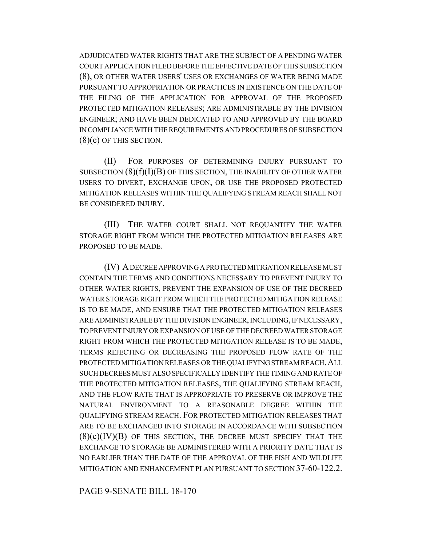ADJUDICATED WATER RIGHTS THAT ARE THE SUBJECT OF A PENDING WATER COURT APPLICATION FILED BEFORE THE EFFECTIVE DATE OF THIS SUBSECTION (8), OR OTHER WATER USERS' USES OR EXCHANGES OF WATER BEING MADE PURSUANT TO APPROPRIATION OR PRACTICES IN EXISTENCE ON THE DATE OF THE FILING OF THE APPLICATION FOR APPROVAL OF THE PROPOSED PROTECTED MITIGATION RELEASES; ARE ADMINISTRABLE BY THE DIVISION ENGINEER; AND HAVE BEEN DEDICATED TO AND APPROVED BY THE BOARD IN COMPLIANCE WITH THE REQUIREMENTS AND PROCEDURES OF SUBSECTION  $(8)(e)$  OF THIS SECTION.

(II) FOR PURPOSES OF DETERMINING INJURY PURSUANT TO SUBSECTION  $(8)(f)(I)(B)$  OF THIS SECTION, THE INABILITY OF OTHER WATER USERS TO DIVERT, EXCHANGE UPON, OR USE THE PROPOSED PROTECTED MITIGATION RELEASES WITHIN THE QUALIFYING STREAM REACH SHALL NOT BE CONSIDERED INJURY.

(III) THE WATER COURT SHALL NOT REQUANTIFY THE WATER STORAGE RIGHT FROM WHICH THE PROTECTED MITIGATION RELEASES ARE PROPOSED TO BE MADE.

(IV) A DECREE APPROVING A PROTECTED MITIGATION RELEASE MUST CONTAIN THE TERMS AND CONDITIONS NECESSARY TO PREVENT INJURY TO OTHER WATER RIGHTS, PREVENT THE EXPANSION OF USE OF THE DECREED WATER STORAGE RIGHT FROM WHICH THE PROTECTED MITIGATION RELEASE IS TO BE MADE, AND ENSURE THAT THE PROTECTED MITIGATION RELEASES ARE ADMINISTRABLE BY THE DIVISION ENGINEER, INCLUDING, IF NECESSARY, TO PREVENT INJURY OR EXPANSION OF USE OF THE DECREED WATER STORAGE RIGHT FROM WHICH THE PROTECTED MITIGATION RELEASE IS TO BE MADE, TERMS REJECTING OR DECREASING THE PROPOSED FLOW RATE OF THE PROTECTED MITIGATION RELEASES OR THE QUALIFYING STREAM REACH. ALL SUCH DECREES MUST ALSO SPECIFICALLY IDENTIFY THE TIMING AND RATE OF THE PROTECTED MITIGATION RELEASES, THE QUALIFYING STREAM REACH, AND THE FLOW RATE THAT IS APPROPRIATE TO PRESERVE OR IMPROVE THE NATURAL ENVIRONMENT TO A REASONABLE DEGREE WITHIN THE QUALIFYING STREAM REACH. FOR PROTECTED MITIGATION RELEASES THAT ARE TO BE EXCHANGED INTO STORAGE IN ACCORDANCE WITH SUBSECTION  $(8)(c)(IV)(B)$  of this section, the Decree MUST SPECIFY THAT THE EXCHANGE TO STORAGE BE ADMINISTERED WITH A PRIORITY DATE THAT IS NO EARLIER THAN THE DATE OF THE APPROVAL OF THE FISH AND WILDLIFE MITIGATION AND ENHANCEMENT PLAN PURSUANT TO SECTION 37-60-122.2.

PAGE 9-SENATE BILL 18-170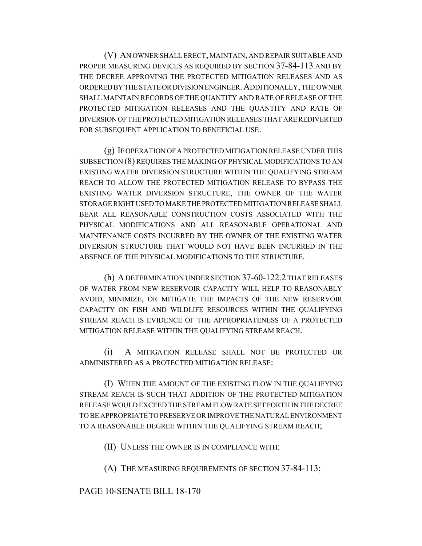(V) AN OWNER SHALL ERECT, MAINTAIN, AND REPAIR SUITABLE AND PROPER MEASURING DEVICES AS REQUIRED BY SECTION 37-84-113 AND BY THE DECREE APPROVING THE PROTECTED MITIGATION RELEASES AND AS ORDERED BY THE STATE OR DIVISION ENGINEER.ADDITIONALLY, THE OWNER SHALL MAINTAIN RECORDS OF THE QUANTITY AND RATE OF RELEASE OF THE PROTECTED MITIGATION RELEASES AND THE QUANTITY AND RATE OF DIVERSION OF THE PROTECTED MITIGATION RELEASES THAT ARE REDIVERTED FOR SUBSEQUENT APPLICATION TO BENEFICIAL USE.

(g) IF OPERATION OF A PROTECTED MITIGATION RELEASE UNDER THIS SUBSECTION (8) REQUIRES THE MAKING OF PHYSICAL MODIFICATIONS TO AN EXISTING WATER DIVERSION STRUCTURE WITHIN THE QUALIFYING STREAM REACH TO ALLOW THE PROTECTED MITIGATION RELEASE TO BYPASS THE EXISTING WATER DIVERSION STRUCTURE, THE OWNER OF THE WATER STORAGE RIGHT USED TO MAKE THE PROTECTED MITIGATION RELEASE SHALL BEAR ALL REASONABLE CONSTRUCTION COSTS ASSOCIATED WITH THE PHYSICAL MODIFICATIONS AND ALL REASONABLE OPERATIONAL AND MAINTENANCE COSTS INCURRED BY THE OWNER OF THE EXISTING WATER DIVERSION STRUCTURE THAT WOULD NOT HAVE BEEN INCURRED IN THE ABSENCE OF THE PHYSICAL MODIFICATIONS TO THE STRUCTURE.

(h) A DETERMINATION UNDER SECTION 37-60-122.2 THAT RELEASES OF WATER FROM NEW RESERVOIR CAPACITY WILL HELP TO REASONABLY AVOID, MINIMIZE, OR MITIGATE THE IMPACTS OF THE NEW RESERVOIR CAPACITY ON FISH AND WILDLIFE RESOURCES WITHIN THE QUALIFYING STREAM REACH IS EVIDENCE OF THE APPROPRIATENESS OF A PROTECTED MITIGATION RELEASE WITHIN THE QUALIFYING STREAM REACH.

(i) A MITIGATION RELEASE SHALL NOT BE PROTECTED OR ADMINISTERED AS A PROTECTED MITIGATION RELEASE:

(I) WHEN THE AMOUNT OF THE EXISTING FLOW IN THE QUALIFYING STREAM REACH IS SUCH THAT ADDITION OF THE PROTECTED MITIGATION RELEASE WOULD EXCEED THE STREAM FLOW RATE SET FORTH IN THE DECREE TO BE APPROPRIATE TO PRESERVE OR IMPROVE THE NATURAL ENVIRONMENT TO A REASONABLE DEGREE WITHIN THE QUALIFYING STREAM REACH;

(II) UNLESS THE OWNER IS IN COMPLIANCE WITH:

(A) THE MEASURING REQUIREMENTS OF SECTION 37-84-113;

# PAGE 10-SENATE BILL 18-170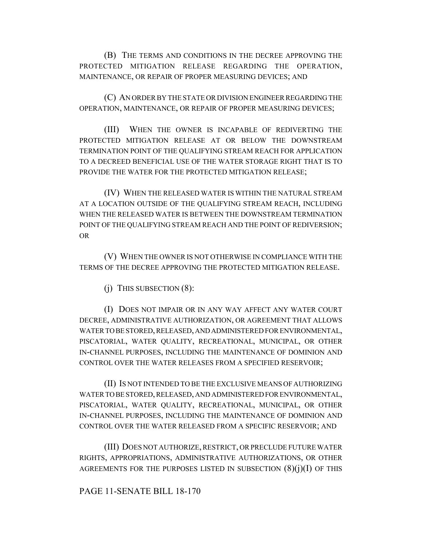(B) THE TERMS AND CONDITIONS IN THE DECREE APPROVING THE PROTECTED MITIGATION RELEASE REGARDING THE OPERATION, MAINTENANCE, OR REPAIR OF PROPER MEASURING DEVICES; AND

(C) AN ORDER BY THE STATE OR DIVISION ENGINEER REGARDING THE OPERATION, MAINTENANCE, OR REPAIR OF PROPER MEASURING DEVICES;

(III) WHEN THE OWNER IS INCAPABLE OF REDIVERTING THE PROTECTED MITIGATION RELEASE AT OR BELOW THE DOWNSTREAM TERMINATION POINT OF THE QUALIFYING STREAM REACH FOR APPLICATION TO A DECREED BENEFICIAL USE OF THE WATER STORAGE RIGHT THAT IS TO PROVIDE THE WATER FOR THE PROTECTED MITIGATION RELEASE;

(IV) WHEN THE RELEASED WATER IS WITHIN THE NATURAL STREAM AT A LOCATION OUTSIDE OF THE QUALIFYING STREAM REACH, INCLUDING WHEN THE RELEASED WATER IS BETWEEN THE DOWNSTREAM TERMINATION POINT OF THE QUALIFYING STREAM REACH AND THE POINT OF REDIVERSION; OR

(V) WHEN THE OWNER IS NOT OTHERWISE IN COMPLIANCE WITH THE TERMS OF THE DECREE APPROVING THE PROTECTED MITIGATION RELEASE.

(j) THIS SUBSECTION (8):

(I) DOES NOT IMPAIR OR IN ANY WAY AFFECT ANY WATER COURT DECREE, ADMINISTRATIVE AUTHORIZATION, OR AGREEMENT THAT ALLOWS WATER TO BE STORED, RELEASED, AND ADMINISTERED FOR ENVIRONMENTAL, PISCATORIAL, WATER QUALITY, RECREATIONAL, MUNICIPAL, OR OTHER IN-CHANNEL PURPOSES, INCLUDING THE MAINTENANCE OF DOMINION AND CONTROL OVER THE WATER RELEASES FROM A SPECIFIED RESERVOIR;

(II) IS NOT INTENDED TO BE THE EXCLUSIVE MEANS OF AUTHORIZING WATER TO BE STORED, RELEASED, AND ADMINISTERED FOR ENVIRONMENTAL, PISCATORIAL, WATER QUALITY, RECREATIONAL, MUNICIPAL, OR OTHER IN-CHANNEL PURPOSES, INCLUDING THE MAINTENANCE OF DOMINION AND CONTROL OVER THE WATER RELEASED FROM A SPECIFIC RESERVOIR; AND

(III) DOES NOT AUTHORIZE, RESTRICT, OR PRECLUDE FUTURE WATER RIGHTS, APPROPRIATIONS, ADMINISTRATIVE AUTHORIZATIONS, OR OTHER AGREEMENTS FOR THE PURPOSES LISTED IN SUBSECTION  $(8)(j)(I)$  OF THIS

## PAGE 11-SENATE BILL 18-170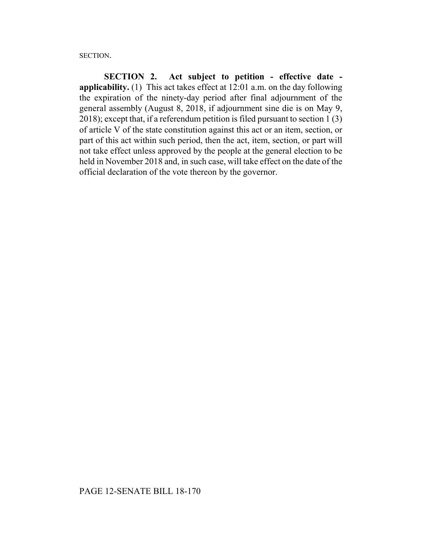SECTION.

**SECTION 2. Act subject to petition - effective date applicability.** (1) This act takes effect at 12:01 a.m. on the day following the expiration of the ninety-day period after final adjournment of the general assembly (August 8, 2018, if adjournment sine die is on May 9, 2018); except that, if a referendum petition is filed pursuant to section 1 (3) of article V of the state constitution against this act or an item, section, or part of this act within such period, then the act, item, section, or part will not take effect unless approved by the people at the general election to be held in November 2018 and, in such case, will take effect on the date of the official declaration of the vote thereon by the governor.